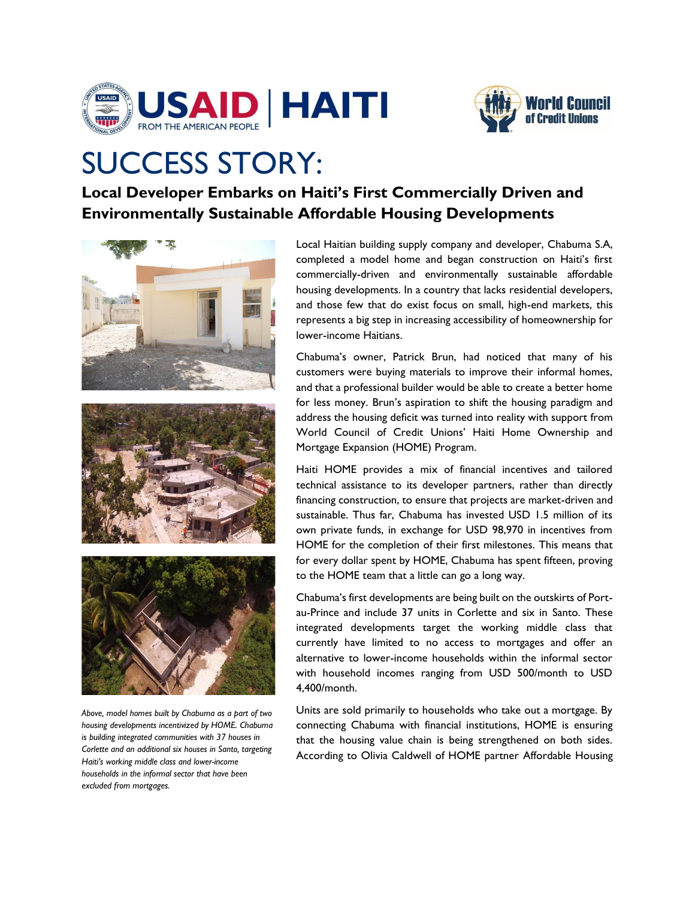



## SUCCESS STORY:

**Local Developer Embarks on Haiti's First Commercially Driven and Environmentally Sustainable Affordable Housing Developments** 



*Above, model homes built by Chabuma as a part of two housing developments incentivized by HOME. Chabuma is building integrated communities with 37 houses in Corlette and an additional six houses in Santo, targeting Haiti's working middle class and lower-income households in the informal sector that have been excluded from mortgages.*

Local Haitian building supply company and developer, Chabuma S.A, completed a model home and began construction on Haiti's first commercially-driven and environmentally sustainable affordable housing developments. In a country that lacks residential developers, and those few that do exist focus on small, high-end markets, this represents a big step in increasing accessibility of homeownership for lower-income Haitians.

Chabuma's owner, Patrick Brun, had noticed that many of his customers were buying materials to improve their informal homes, and that a professional builder would be able to create a better home for less money. Brun's aspiration to shift the housing paradigm and address the housing deficit was turned into reality with support from World Council of Credit Unions' Haiti Home Ownership and Mortgage Expansion (HOME) Program.

Haiti HOME provides a mix of financial incentives and tailored technical assistance to its developer partners, rather than directly financing construction, to ensure that projects are market-driven and sustainable. Thus far, Chabuma has invested USD 1.5 million of its own private funds, in exchange for USD 98,970 in incentives from HOME for the completion of their first milestones. This means that for every dollar spent by HOME, Chabuma has spent fifteen, proving to the HOME team that a little can go a long way.

Chabuma's first developments are being built on the outskirts of Portau-Prince and include 37 units in Corlette and six in Santo. These integrated developments target the working middle class that currently have limited to no access to mortgages and offer an alternative to lower-income households within the informal sector with household incomes ranging from USD 500/month to USD 4,400/month.

Units are sold primarily to households who take out a mortgage. By connecting Chabuma with financial institutions, HOME is ensuring that the housing value chain is being strengthened on both sides. According to Olivia Caldwell of HOME partner Affordable Housing